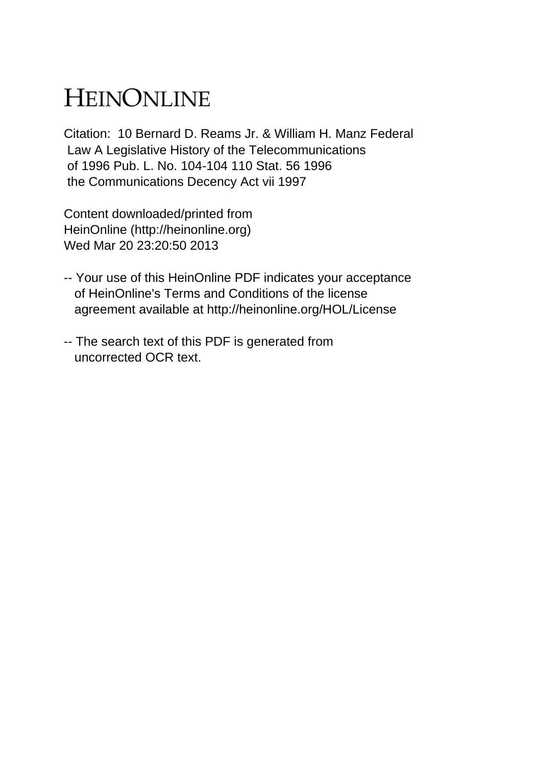## HEINONLINE

Citation: 10 Bernard D. Reams Jr. & William H. Manz Federal Law A Legislative History of the Telecommunications of 1996 Pub. L. No. 104-104 110 Stat. 56 1996 the Communications Decency Act vii 1997

Content downloaded/printed from HeinOnline (http://heinonline.org) Wed Mar 20 23:20:50 2013

- -- Your use of this HeinOnline PDF indicates your acceptance of HeinOnline's Terms and Conditions of the license agreement available at http://heinonline.org/HOL/License
- -- The search text of this PDF is generated from uncorrected OCR text.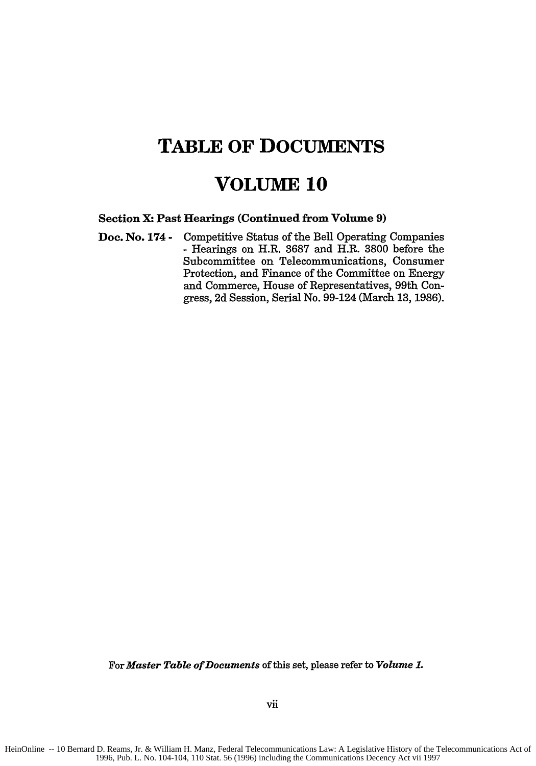## **TABLE OF DOCUMENTS**

## **VOLUME 10**

## **Section X: Past Hearings (Continued from Volume 9)**

**Doc. No. 174 -** Competitive Status of the Bell Operating Companies **-** Hearings on H.R. **3687** and H.R. **3800** before the Subcommittee on Telecommunications, Consumer Protection, and Finance of the Committee on Energy and Commerce, House of Representatives, 99th Congress, **2d** Session, Serial No. 99-124 (March **13, 1986).**

For *Master Table of Documents* of this set, please refer to *Volume 1*.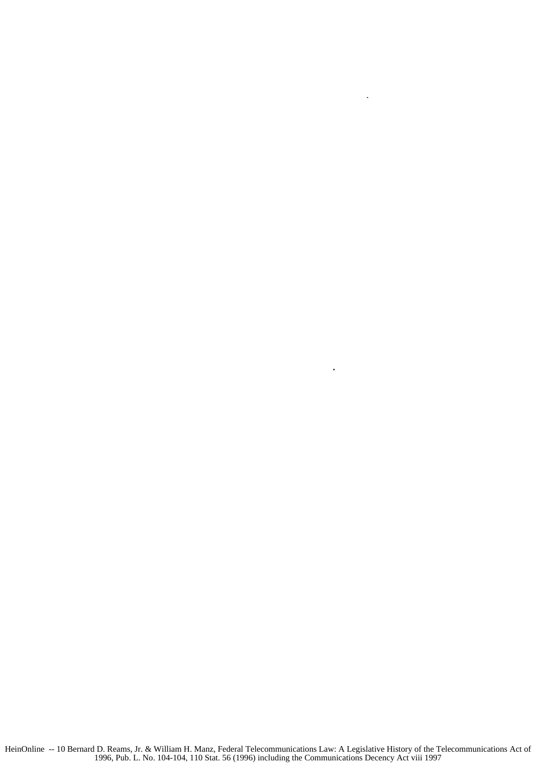HeinOnline -- 10 Bernard D. Reams, Jr. & William H. Manz, Federal Telecommunications Law: A Legislative History of the Telecommunications Act of 1996, Pub. L. No. 104-104, 110 Stat. 56 (1996) including the Communications Decency Act viii 1997

 $\ddot{\phantom{a}}$ 

 $\ddot{\phantom{1}}$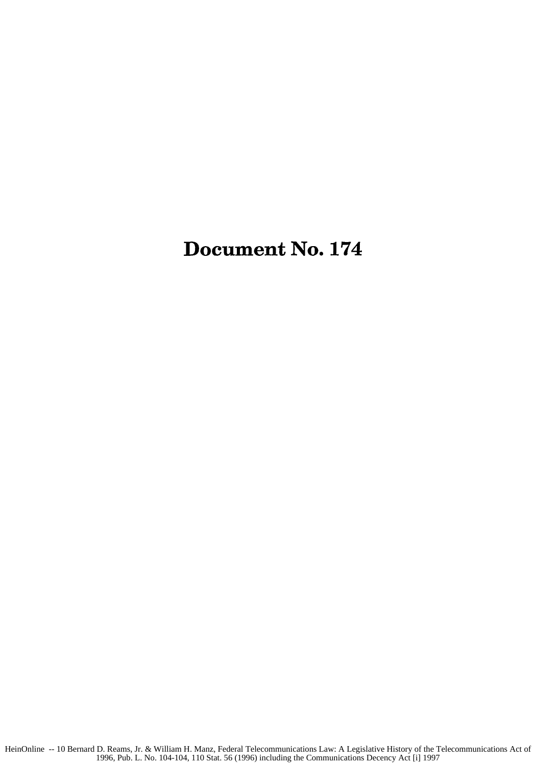Document No. 174